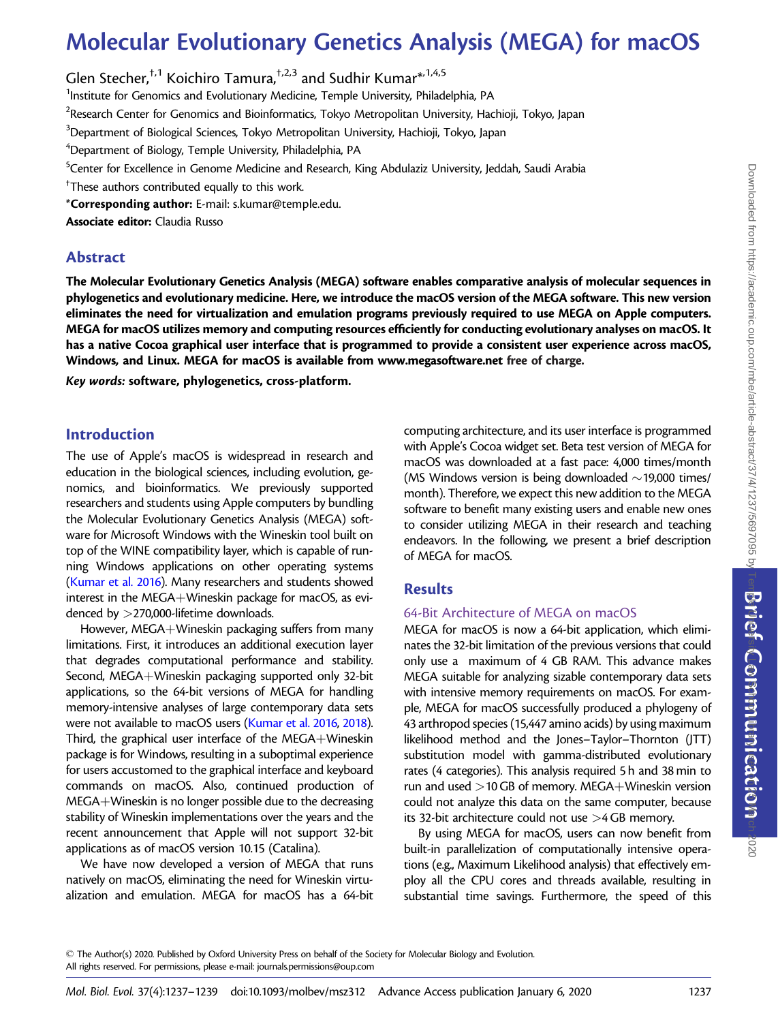# Molecular Evolutionary Genetics Analysis (MEGA) for macOS

Glen Stecher,<sup>†,1</sup> Koichiro Tamura,<sup>†,2,3</sup> and Sudhir Kumar<sup>\*,1,4,5</sup>

<sup>1</sup>Institute for Genomics and Evolutionary Medicine, Temple University, Philadelphia, PA

 $^{2}$ Research Center for Genomics and Bioinformatics, Tokyo Metropolitan University, Hachioji, Tokyo, Japan

 $^3$ Department of Biological Sciences, Tokyo Metropolitan University, Hachioji, Tokyo, Japan

 ${\rm ^4}$ Department of Biology, Temple University, Philadelphia, PA

<sup>5</sup>Center for Excellence in Genome Medicine and Research, King Abdulaziz University, Jeddah, Saudi Arabia

 $^\dagger$ These authors contributed equally to this work.

\*Corresponding author: E-mail: s.kumar@temple.edu.

Associate editor: Claudia Russo

### Abstract

The Molecular Evolutionary Genetics Analysis (MEGA) software enables comparative analysis of molecular sequences in phylogenetics and evolutionary medicine. Here, we introduce the macOS version of the MEGA software. This new version eliminates the need for virtualization and emulation programs previously required to use MEGA on Apple computers. MEGA for macOS utilizes memory and computing resources efficiently for conducting evolutionary analyses on macOS. It has a native Cocoa graphical user interface that is programmed to provide a consistent user experience across macOS, Windows, and Linux. MEGA for macOS is available from [www.megasoftware.net](http://www.megasoftware.net) free of charge.

Key words: software, phylogenetics, cross-platform.

## Introduction

The use of Apple's macOS is widespread in research and education in the biological sciences, including evolution, genomics, and bioinformatics. We previously supported researchers and students using Apple computers by bundling the Molecular Evolutionary Genetics Analysis (MEGA) software for Microsoft Windows with the Wineskin tool built on top of the WINE compatibility layer, which is capable of running Windows applications on other operating systems ([Kumar et al. 2016](#page-2-0)). Many researchers and students showed interest in the MEGA+Wineskin package for macOS, as evidenced by >270,000-lifetime downloads.

However, MEGA+Wineskin packaging suffers from many limitations. First, it introduces an additional execution layer that degrades computational performance and stability. Second, MEGA+Wineskin packaging supported only 32-bit applications, so the 64-bit versions of MEGA for handling memory-intensive analyses of large contemporary data sets were not available to macOS users [\(Kumar et al. 2016](#page-2-0), [2018\)](#page-2-0). Third, the graphical user interface of the  $MEGA+W$ ineskin package is for Windows, resulting in a suboptimal experience for users accustomed to the graphical interface and keyboard commands on macOS. Also, continued production of  $MEGA + W$ ineskin is no longer possible due to the decreasing stability of Wineskin implementations over the years and the recent announcement that Apple will not support 32-bit applications as of macOS version 10.15 (Catalina).

We have now developed a version of MEGA that runs natively on macOS, eliminating the need for Wineskin virtualization and emulation. MEGA for macOS has a 64-bit

computing architecture, and its user interface is programmed with Apple's Cocoa widget set. Beta test version of MEGA for macOS was downloaded at a fast pace: 4,000 times/month (MS Windows version is being downloaded  $\sim$  19,000 times/ month). Therefore, we expect this new addition to the MEGA software to benefit many existing users and enable new ones to consider utilizing MEGA in their research and teaching endeavors. In the following, we present a brief description of MEGA for macOS.

## Results

#### 64-Bit Architecture of MEGA on macOS

MEGA for macOS is now a 64-bit application, which eliminates the 32-bit limitation of the previous versions that could only use a maximum of 4 GB RAM. This advance makes MEGA suitable for analyzing sizable contemporary data sets with intensive memory requirements on macOS. For example, MEGA for macOS successfully produced a phylogeny of 43 arthropod species (15,447 amino acids) by using maximum likelihood method and the Jones–Taylor–Thornton (JTT) substitution model with gamma-distributed evolutionary rates (4 categories). This analysis required 5 h and 38 min to run and used  $>$  10 GB of memory. MEGA $+$ Wineskin version could not analyze this data on the same computer, because its 32-bit architecture could not use >4 GB memory.

By using MEGA for macOS, users can now benefit from built-in parallelization of computationally intensive operations (e.g., Maximum Likelihood analysis) that effectively employ all the CPU cores and threads available, resulting in substantial time savings. Furthermore, the speed of this

- The Author(s) 2020. Published by Oxford University Press on behalf of the Society for Molecular Biology and Evolution. All rights reserved. For permissions, please e-mail: journals.permissions@oup.com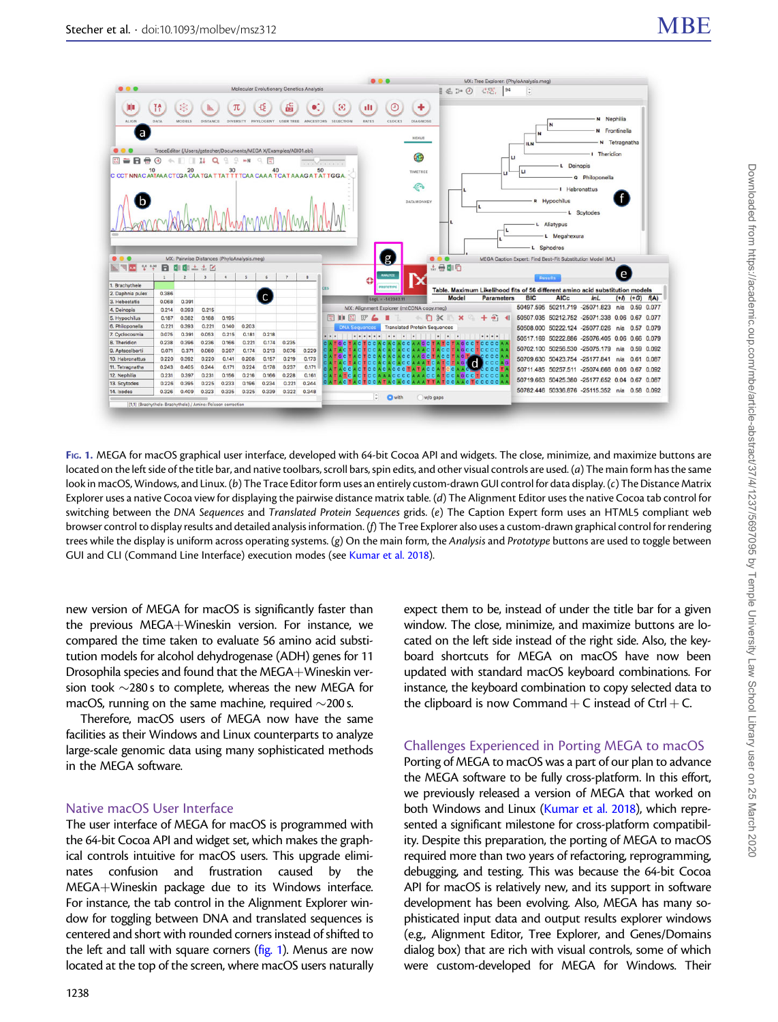

FIG. 1. MEGA for macOS graphical user interface, developed with 64-bit Cocoa API and widgets. The close, minimize, and maximize buttons are located on the left side of the title bar, and native toolbars, scroll bars, spin edits, and other visual controls are used. (a) The main form has the same look in macOS, Windows, and Linux. (b) The Trace Editor form uses an entirely custom-drawn GUI control for data display. (c) The Distance Matrix Explorer uses a native Cocoa view for displaying the pairwise distance matrix table. (d) The Alignment Editor uses the native Cocoa tab control for switching between the DNA Sequences and Translated Protein Sequences grids. (e) The Caption Expert form uses an HTML5 compliant web browser control to display results and detailed analysis information. (f) The Tree Explorer also uses a custom-drawn graphical control for rendering trees while the display is uniform across operating systems. (g) On the main form, the Analysis and Prototype buttons are used to toggle between GUI and CLI (Command Line Interface) execution modes (see [Kumar et al. 2018](#page-2-0)).

new version of MEGA for macOS is significantly faster than the previous MEGA+Wineskin version. For instance, we compared the time taken to evaluate 56 amino acid substitution models for alcohol dehydrogenase (ADH) genes for 11 Drosophila species and found that the MEGA+Wineskin version took  $\sim$ 280s to complete, whereas the new MEGA for macOS, running on the same machine, required  $\sim$ 200 s.

Therefore, macOS users of MEGA now have the same facilities as their Windows and Linux counterparts to analyze large-scale genomic data using many sophisticated methods in the MEGA software.

#### Native macOS User Interface

The user interface of MEGA for macOS is programmed with the 64-bit Cocoa API and widget set, which makes the graphical controls intuitive for macOS users. This upgrade eliminates confusion and frustration caused by the  $MEGA+W$ ineskin package due to its Windows interface. For instance, the tab control in the Alignment Explorer window for toggling between DNA and translated sequences is centered and short with rounded corners instead of shifted to the left and tall with square corners  $(fig. 1)$ . Menus are now located at the top of the screen, where macOS users naturally

expect them to be, instead of under the title bar for a given window. The close, minimize, and maximize buttons are located on the left side instead of the right side. Also, the keyboard shortcuts for MEGA on macOS have now been updated with standard macOS keyboard combinations. For instance, the keyboard combination to copy selected data to the clipboard is now Command  $+$  C instead of Ctrl  $+$  C.

### Challenges Experienced in Porting MEGA to macOS

Porting of MEGA to macOS was a part of our plan to advance the MEGA software to be fully cross-platform. In this effort, we previously released a version of MEGA that worked on both Windows and Linux [\(Kumar et al. 2018\)](#page-2-0), which represented a significant milestone for cross-platform compatibility. Despite this preparation, the porting of MEGA to macOS required more than two years of refactoring, reprogramming, debugging, and testing. This was because the 64-bit Cocoa API for macOS is relatively new, and its support in software development has been evolving. Also, MEGA has many sophisticated input data and output results explorer windows (e.g., Alignment Editor, Tree Explorer, and Genes/Domains dialog box) that are rich with visual controls, some of which were custom-developed for MEGA for Windows. Their